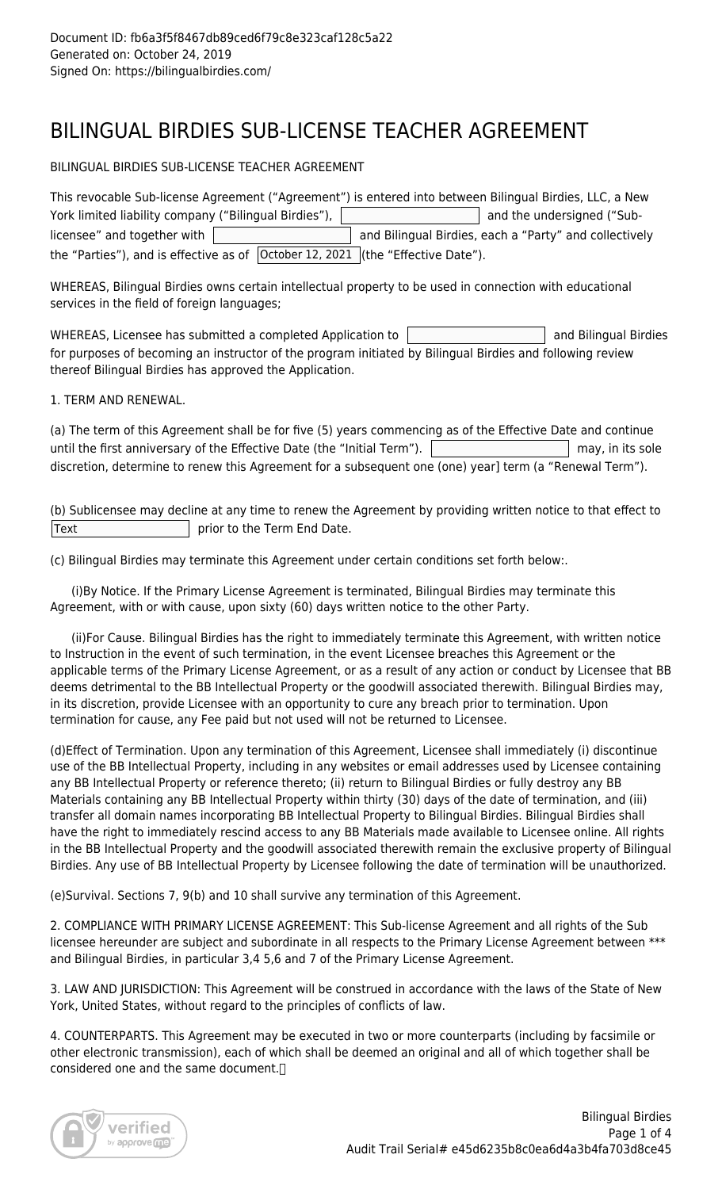# BILINGUAL BIRDIES SUB-LICENSE TEACHER AGREEMENT

BILINGUAL BIRDIES SUB-LICENSE TEACHER AGREEMENT

| This revocable Sub-license Agreement ("Agreement") is entered into between Bilingual Birdies, LLC, a New |                                                        |  |
|----------------------------------------------------------------------------------------------------------|--------------------------------------------------------|--|
| York limited liability company ("Bilingual Birdies"),                                                    | and the undersigned ("Sub-                             |  |
| licensee" and together with                                                                              | and Bilingual Birdies, each a "Party" and collectively |  |
| the "Parties"), and is effective as of $\vert$ October 12, 2021 $\vert$ (the "Effective Date").          |                                                        |  |

WHEREAS, Bilingual Birdies owns certain intellectual property to be used in connection with educational services in the field of foreign languages;

WHEREAS, Licensee has submitted a completed Application to  $\vert$  and Bilingual Birdies for purposes of becoming an instructor of the program initiated by Bilingual Birdies and following review thereof Bilingual Birdies has approved the Application.

1. TERM AND RENEWAL.

| (a) The term of this Agreement shall be for five (5) years commencing as of the Effective Date and continue |                  |
|-------------------------------------------------------------------------------------------------------------|------------------|
| until the first anniversary of the Effective Date (the "Initial Term"). $\parallel$                         | may, in its sole |
| discretion, determine to renew this Agreement for a subsequent one (one) year] term (a "Renewal Term").     |                  |

(b) Sublicensee may decline at any time to renew the Agreement by providing written notice to that effect to  $|\text{Text}|\$  prior to the Term End Date.

(c) Bilingual Birdies may terminate this Agreement under certain conditions set forth below:.

 (i)By Notice. If the Primary License Agreement is terminated, Bilingual Birdies may terminate this Agreement, with or with cause, upon sixty (60) days written notice to the other Party.

 (ii)For Cause. Bilingual Birdies has the right to immediately terminate this Agreement, with written notice to Instruction in the event of such termination, in the event Licensee breaches this Agreement or the applicable terms of the Primary License Agreement, or as a result of any action or conduct by Licensee that BB deems detrimental to the BB Intellectual Property or the goodwill associated therewith. Bilingual Birdies may, in its discretion, provide Licensee with an opportunity to cure any breach prior to termination. Upon termination for cause, any Fee paid but not used will not be returned to Licensee.

(d)Effect of Termination. Upon any termination of this Agreement, Licensee shall immediately (i) discontinue use of the BB Intellectual Property, including in any websites or email addresses used by Licensee containing any BB Intellectual Property or reference thereto; (ii) return to Bilingual Birdies or fully destroy any BB Materials containing any BB Intellectual Property within thirty (30) days of the date of termination, and (iii) transfer all domain names incorporating BB Intellectual Property to Bilingual Birdies. Bilingual Birdies shall have the right to immediately rescind access to any BB Materials made available to Licensee online. All rights in the BB Intellectual Property and the goodwill associated therewith remain the exclusive property of Bilingual Birdies. Any use of BB Intellectual Property by Licensee following the date of termination will be unauthorized.

(e)Survival. Sections 7, 9(b) and 10 shall survive any termination of this Agreement.

2. COMPLIANCE WITH PRIMARY LICENSE AGREEMENT: This Sub-license Agreement and all rights of the Sub licensee hereunder are subject and subordinate in all respects to the Primary License Agreement between \*\*\* and Bilingual Birdies, in particular 3,4 5,6 and 7 of the Primary License Agreement.

3. LAW AND JURISDICTION: This Agreement will be construed in accordance with the laws of the State of New York, United States, without regard to the principles of conflicts of law.

4. COUNTERPARTS. This Agreement may be executed in two or more counterparts (including by facsimile or other electronic transmission), each of which shall be deemed an original and all of which together shall be considered one and the same document.<sup>[]</sup>

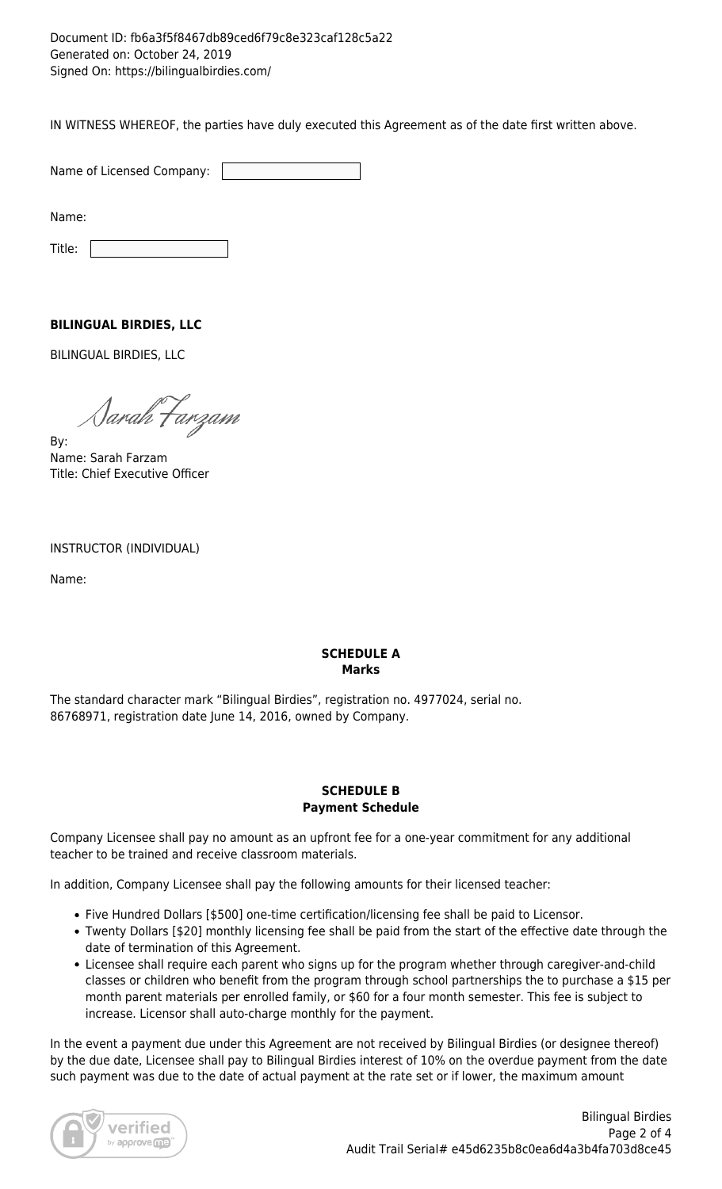### Document ID: fb6a3f5f8467db89ced6f79c8e323caf128c5a22 Generated on: October 24, 2019 Signed On: https://bilingualbirdies.com/

IN WITNESS WHEREOF, the parties have duly executed this Agreement as of the date first written above.

Name of Licensed Company:

Name:

Title: |

## **BILINGUAL BIRDIES, LLC**

BILINGUAL BIRDIES, LLC

1arah Farzam

By: Name: Sarah Farzam Title: Chief Executive Officer

### INSTRUCTOR (INDIVIDUAL)

Name:

## **SCHEDULE A Marks**

The standard character mark "Bilingual Birdies", registration no. 4977024, serial no. 86768971, registration date June 14, 2016, owned by Company.

#### **SCHEDULE B Payment Schedule**

Company Licensee shall pay no amount as an upfront fee for a one-year commitment for any additional teacher to be trained and receive classroom materials.

In addition, Company Licensee shall pay the following amounts for their licensed teacher:

- Five Hundred Dollars [\$500] one-time certification/licensing fee shall be paid to Licensor.
- Twenty Dollars [\$20] monthly licensing fee shall be paid from the start of the effective date through the date of termination of this Agreement.
- Licensee shall require each parent who signs up for the program whether through caregiver-and-child classes or children who benefit from the program through school partnerships the to purchase a \$15 per month parent materials per enrolled family, or \$60 for a four month semester. This fee is subject to increase. Licensor shall auto-charge monthly for the payment.

In the event a payment due under this Agreement are not received by Bilingual Birdies (or designee thereof) by the due date, Licensee shall pay to Bilingual Birdies interest of 10% on the overdue payment from the date such payment was due to the date of actual payment at the rate set or if lower, the maximum amount